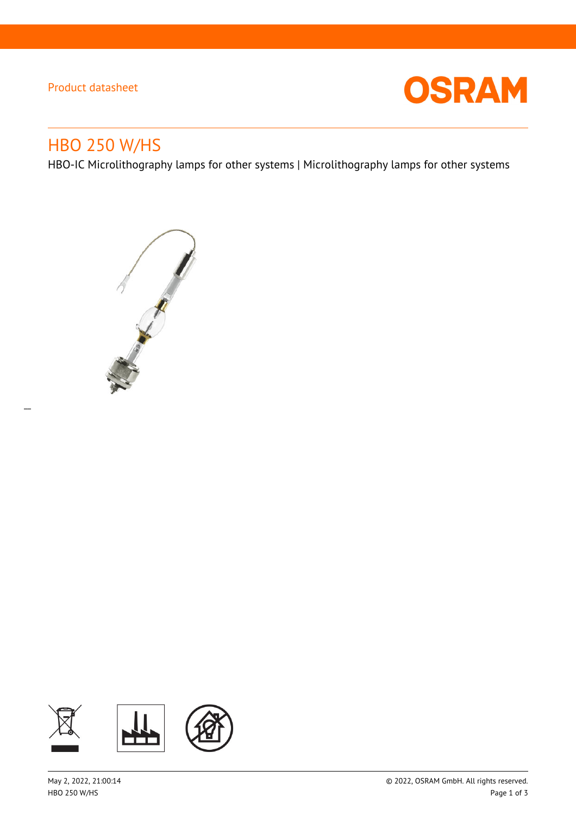### Product datasheet



# HBO 250 W/HS

 $\overline{a}$ 

HBO-IC Microlithography lamps for other systems | Microlithography lamps for other systems



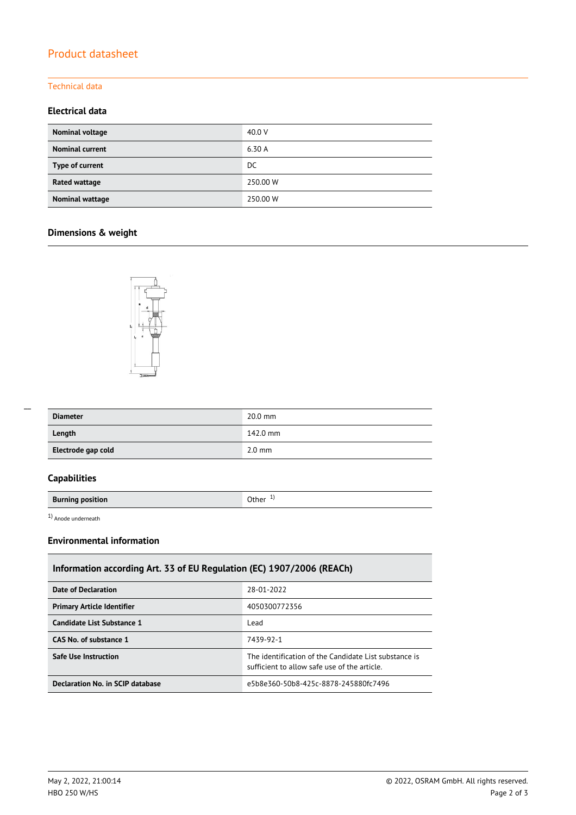## Product datasheet

#### Technical data

#### **Electrical data**

| Nominal voltage        | 40.0 V   |
|------------------------|----------|
| <b>Nominal current</b> | 6.30 A   |
| Type of current        | DC.      |
| Rated wattage          | 250.00 W |
| Nominal wattage        | 250.00 W |

### **Dimensions & weight**



| <b>Diameter</b>    | $20.0$ mm        |
|--------------------|------------------|
| Length             | 142.0 mm         |
| Electrode gap cold | $2.0 \text{ mm}$ |

### **Capabilities**

**Burning position Burning position** 

1) Anode underneath

### **Environmental information**

| Information according Art. 33 of EU Regulation (EC) 1907/2006 (REACh) |                                                                                                       |  |  |  |
|-----------------------------------------------------------------------|-------------------------------------------------------------------------------------------------------|--|--|--|
| Date of Declaration                                                   | 28-01-2022                                                                                            |  |  |  |
| <b>Primary Article Identifier</b>                                     | 4050300772356                                                                                         |  |  |  |
| Candidate List Substance 1                                            | Lead                                                                                                  |  |  |  |
| CAS No. of substance 1                                                | 7439-92-1                                                                                             |  |  |  |
| <b>Safe Use Instruction</b>                                           | The identification of the Candidate List substance is<br>sufficient to allow safe use of the article. |  |  |  |
| Declaration No. in SCIP database                                      | e5b8e360-50b8-425c-8878-245880fc7496                                                                  |  |  |  |